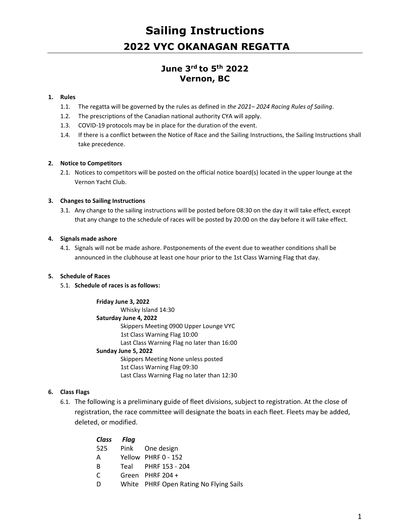# **June 3rd to 5th 2022 Vernon, BC**

#### **1. Rules**

- 1.1. The regatta will be governed by the rules as defined in *the 2021– 2024 Racing Rules of Sailing*.
- 1.2. The prescriptions of the Canadian national authority CYA will apply.
- 1.3. COVID-19 protocols may be in place for the duration of the event.
- 1.4. If there is a conflict between the Notice of Race and the Sailing Instructions, the Sailing Instructions shall take precedence.

#### **2. Notice to Competitors**

2.1. Notices to competitors will be posted on the official notice board(s) located in the upper lounge at the Vernon Yacht Club.

#### **3. Changes to Sailing Instructions**

3.1. Any change to the sailing instructions will be posted before 08:30 on the day it will take effect, except that any change to the schedule of races will be posted by 20:00 on the day before it will take effect.

#### **4. Signals made ashore**

4.1. Signals will not be made ashore. Postponements of the event due to weather conditions shall be announced in the clubhouse at least one hour prior to the 1st Class Warning Flag that day.

#### **5. Schedule of Races**

#### 5.1. **Schedule of races is as follows:**

#### **Friday June 3, 2022**

Whisky Island 14:30 **Saturday June 4, 2022** Skippers Meeting 0900 Upper Lounge VYC 1st Class Warning Flag 10:00 Last Class Warning Flag no later than 16:00 **Sunday June 5, 2022** Skippers Meeting None unless posted 1st Class Warning Flag 09:30 Last Class Warning Flag no later than 12:30

#### **6. Class Flags**

6.1. The following is a preliminary guide of fleet divisions, subject to registration. At the close of registration, the race committee will designate the boats in each fleet. Fleets may be added, deleted, or modified.

| Class Flag |                                        |
|------------|----------------------------------------|
| 525        | Pink One design                        |
| A          | Yellow PHRF 0 - 152                    |
| B          | Teal PHRF 153 - 204                    |
| C          | Green PHRF $204 +$                     |
| D          | White PHRF Open Rating No Flying Sails |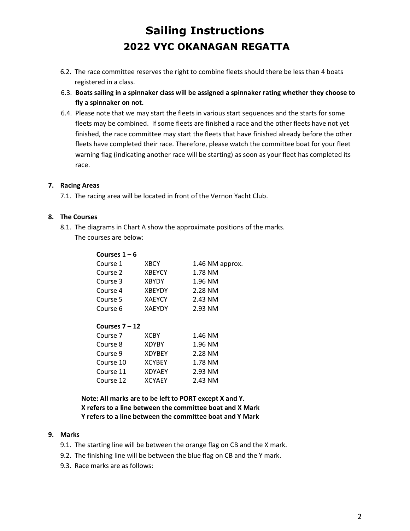- 6.2. The race committee reserves the right to combine fleets should there be less than 4 boats registered in a class.
- 6.3. **Boats sailing in a spinnaker class will be assigned a spinnaker rating whether they choose to fly a spinnaker on not.**
- 6.4. Please note that we may start the fleets in various start sequences and the starts for some fleets may be combined. If some fleets are finished a race and the other fleets have not yet finished, the race committee may start the fleets that have finished already before the other fleets have completed their race. Therefore, please watch the committee boat for your fleet warning flag (indicating another race will be starting) as soon as your fleet has completed its race.

# **7. Racing Areas**

7.1. The racing area will be located in front of the Vernon Yacht Club.

### **8. The Courses**

8.1. The diagrams in Chart A show the approximate positions of the marks.

The courses are below:

| Courses $1 - 6$  |               |                 |  |  |  |
|------------------|---------------|-----------------|--|--|--|
| Course 1         | <b>XBCY</b>   | 1.46 NM approx. |  |  |  |
| Course 2         | <b>XBEYCY</b> | 1.78 NM         |  |  |  |
| Course 3         | <b>XBYDY</b>  | 1.96 NM         |  |  |  |
| Course 4         | <b>XBEYDY</b> | 2.28 NM         |  |  |  |
| Course 5         | <b>XAEYCY</b> | 2.43 NM         |  |  |  |
| Course 6         | <b>XAEYDY</b> | 2.93 NM         |  |  |  |
|                  |               |                 |  |  |  |
| Courses $7 - 12$ |               |                 |  |  |  |
| Course 7         | <b>XCBY</b>   | 1.46 NM         |  |  |  |
| Course 8         | <b>XDYBY</b>  | 1.96 NM         |  |  |  |
|                  |               |                 |  |  |  |

| <b>XDYBY</b>  | 1.96 NM |
|---------------|---------|
| <b>XDYBEY</b> | 2.28 NM |
| <b>XCYBEY</b> | 1.78 NM |
| <b>XDYAEY</b> | 2.93 NM |
| <b>XCYAEY</b> | 2.43 NM |
|               |         |

**Note: All marks are to be left to PORT except X and Y. X refers to a line between the committee boat and X Mark Y refers to a line between the committee boat and Y Mark**

#### **9. Marks**

- 9.1. The starting line will be between the orange flag on CB and the X mark.
- 9.2. The finishing line will be between the blue flag on CB and the Y mark.
- 9.3. Race marks are as follows: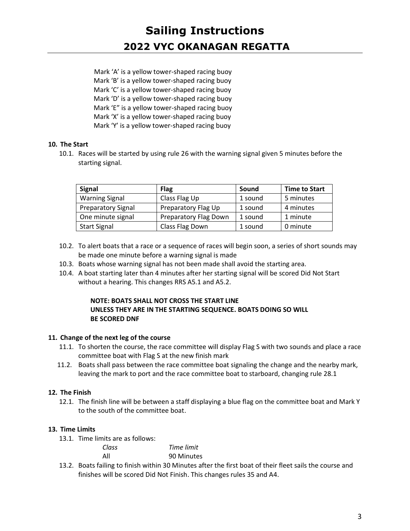Mark 'A' is a yellow tower-shaped racing buoy Mark 'B' is a yellow tower-shaped racing buoy Mark 'C' is a yellow tower-shaped racing buoy Mark 'D' is a yellow tower-shaped racing buoy Mark 'E" is a yellow tower-shaped racing buoy Mark 'X' is a yellow tower-shaped racing buoy Mark 'Y' is a yellow tower-shaped racing buoy

# **10. The Start**

10.1. Races will be started by using rule 26 with the warning signal given 5 minutes before the starting signal.

| <b>Signal</b>             | <b>Flag</b>           | Sound   | <b>Time to Start</b> |
|---------------------------|-----------------------|---------|----------------------|
| <b>Warning Signal</b>     | Class Flag Up         | 1 sound | 5 minutes            |
| <b>Preparatory Signal</b> | Preparatory Flag Up   | 1 sound | 4 minutes            |
| One minute signal         | Preparatory Flag Down | 1 sound | 1 minute             |
| <b>Start Signal</b>       | Class Flag Down       | 1 sound | 0 minute             |
|                           |                       |         |                      |

- 10.2. To alert boats that a race or a sequence of races will begin soon, a series of short sounds may be made one minute before a warning signal is made
- 10.3. Boats whose warning signal has not been made shall avoid the starting area.
- 10.4. A boat starting later than 4 minutes after her starting signal will be scored Did Not Start without a hearing. This changes RRS A5.1 and A5.2.

### **NOTE: BOATS SHALL NOT CROSS THE START LINE UNLESS THEY ARE IN THE STARTING SEQUENCE. BOATS DOING SO WILL BE SCORED DNF**

# **11. Change of the next leg of the course**

- 11.1. To shorten the course, the race committee will display Flag S with two sounds and place a race committee boat with Flag S at the new finish mark
- 11.2. Boats shall pass between the race committee boat signaling the change and the nearby mark, leaving the mark to port and the race committee boat to starboard, changing rule 28.1

# **12. The Finish**

12.1. The finish line will be between a staff displaying a blue flag on the committee boat and Mark Y to the south of the committee boat.

# **13. Time Limits**

13.1. Time limits are as follows:

| Class | Time limit |
|-------|------------|
| All   | 90 Minutes |

13.2. Boats failing to finish within 30 Minutes after the first boat of their fleet sails the course and finishes will be scored Did Not Finish. This changes rules 35 and A4.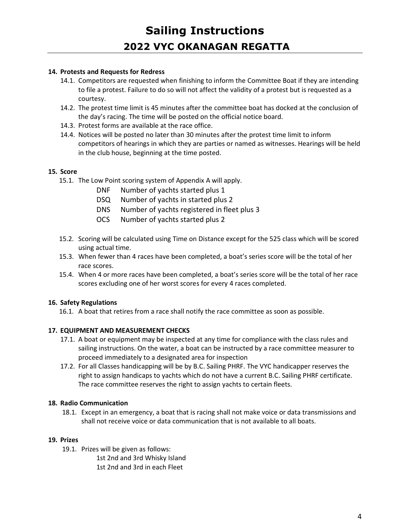### **14. Protests and Requests for Redress**

- 14.1. Competitors are requested when finishing to inform the Committee Boat if they are intending to file a protest. Failure to do so will not affect the validity of a protest but is requested as a courtesy.
- 14.2. The protest time limit is 45 minutes after the committee boat has docked at the conclusion of the day's racing. The time will be posted on the official notice board.
- 14.3. Protest forms are available at the race office.
- 14.4. Notices will be posted no later than 30 minutes after the protest time limit to inform competitors of hearings in which they are parties or named as witnesses. Hearings will be held in the club house, beginning at the time posted.

### **15. Score**

- 15.1. The Low Point scoring system of Appendix A will apply.
	- DNF Number of yachts started plus 1
	- DSQ Number of yachts in started plus 2
	- DNS Number of yachts registered in fleet plus 3
	- OCS Number of yachts started plus 2
- 15.2. Scoring will be calculated using Time on Distance except for the 525 class which will be scored using actual time.
- 15.3. When fewer than 4 races have been completed, a boat's series score will be the total of her race scores.
- 15.4. When 4 or more races have been completed, a boat's series score will be the total of her race scores excluding one of her worst scores for every 4 races completed.

### **16. Safety Regulations**

16.1. A boat that retires from a race shall notify the race committee as soon as possible.

### **17. EQUIPMENT AND MEASUREMENT CHECKS**

- 17.1. A boat or equipment may be inspected at any time for compliance with the class rules and sailing instructions. On the water, a boat can be instructed by a race committee measurer to proceed immediately to a designated area for inspection
- 17.2. For all Classes handicapping will be by B.C. Sailing PHRF. The VYC handicapper reserves the right to assign handicaps to yachts which do not have a current B.C. Sailing PHRF certificate. The race committee reserves the right to assign yachts to certain fleets.

### **18. Radio Communication**

18.1. Except in an emergency, a boat that is racing shall not make voice or data transmissions and shall not receive voice or data communication that is not available to all boats.

### **19. Prizes**

- 19.1. Prizes will be given as follows:
	- 1st 2nd and 3rd Whisky Island 1st 2nd and 3rd in each Fleet